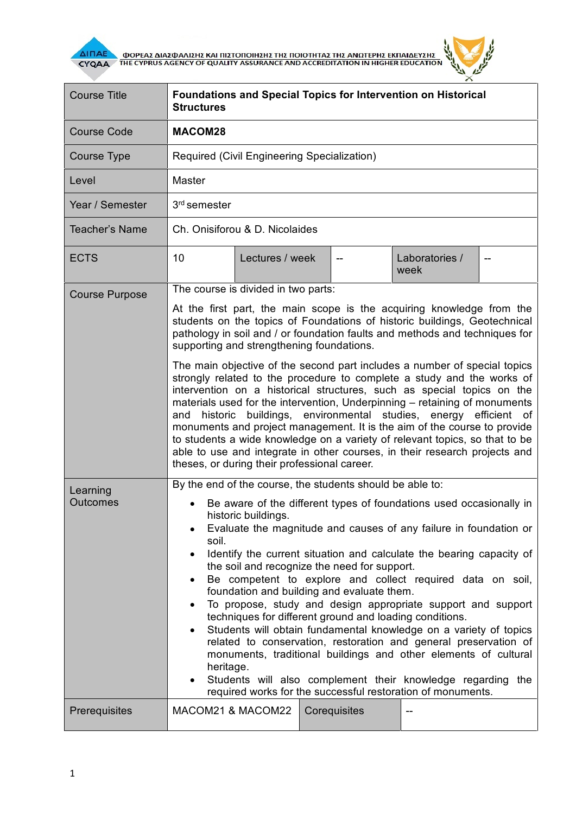

AI<mark>NAE A OOPEAS AIAS QUANSHE KAI NISTONOIHEHE THE NOIOTHTAE THE ANOTEPHE EKNAIAEYEHE A CYQAA A THE CYPRUS AGENCY OF QUALITY ASSURANCE AND ACCREDITATION IN HIGHER EDUCATION</mark>



| <b>Course Title</b>         | <b>Structures</b>                                                                                                                                                                                                                                                                                                                                                                                                                                                                                                                                                                                                                                                                                                                                                                                                                                                                                                                                                            |                 |  |              | <b>Foundations and Special Topics for Intervention on Historical</b> |  |  |  |
|-----------------------------|------------------------------------------------------------------------------------------------------------------------------------------------------------------------------------------------------------------------------------------------------------------------------------------------------------------------------------------------------------------------------------------------------------------------------------------------------------------------------------------------------------------------------------------------------------------------------------------------------------------------------------------------------------------------------------------------------------------------------------------------------------------------------------------------------------------------------------------------------------------------------------------------------------------------------------------------------------------------------|-----------------|--|--------------|----------------------------------------------------------------------|--|--|--|
| <b>Course Code</b>          | MACOM28                                                                                                                                                                                                                                                                                                                                                                                                                                                                                                                                                                                                                                                                                                                                                                                                                                                                                                                                                                      |                 |  |              |                                                                      |  |  |  |
| Course Type                 | Required (Civil Engineering Specialization)                                                                                                                                                                                                                                                                                                                                                                                                                                                                                                                                                                                                                                                                                                                                                                                                                                                                                                                                  |                 |  |              |                                                                      |  |  |  |
| Level                       | Master                                                                                                                                                                                                                                                                                                                                                                                                                                                                                                                                                                                                                                                                                                                                                                                                                                                                                                                                                                       |                 |  |              |                                                                      |  |  |  |
| Year / Semester             | 3 <sup>rd</sup> semester                                                                                                                                                                                                                                                                                                                                                                                                                                                                                                                                                                                                                                                                                                                                                                                                                                                                                                                                                     |                 |  |              |                                                                      |  |  |  |
| <b>Teacher's Name</b>       | Ch. Onisiforou & D. Nicolaides                                                                                                                                                                                                                                                                                                                                                                                                                                                                                                                                                                                                                                                                                                                                                                                                                                                                                                                                               |                 |  |              |                                                                      |  |  |  |
| <b>ECTS</b>                 | 10                                                                                                                                                                                                                                                                                                                                                                                                                                                                                                                                                                                                                                                                                                                                                                                                                                                                                                                                                                           | Lectures / week |  |              | Laboratories /<br>week                                               |  |  |  |
| <b>Course Purpose</b>       | The course is divided in two parts:                                                                                                                                                                                                                                                                                                                                                                                                                                                                                                                                                                                                                                                                                                                                                                                                                                                                                                                                          |                 |  |              |                                                                      |  |  |  |
|                             | At the first part, the main scope is the acquiring knowledge from the<br>students on the topics of Foundations of historic buildings, Geotechnical<br>pathology in soil and / or foundation faults and methods and techniques for<br>supporting and strengthening foundations.<br>The main objective of the second part includes a number of special topics<br>strongly related to the procedure to complete a study and the works of<br>intervention on a historical structures, such as special topics on the<br>materials used for the intervention, Underpinning - retaining of monuments<br>historic buildings, environmental studies, energy efficient of<br>and<br>monuments and project management. It is the aim of the course to provide<br>to students a wide knowledge on a variety of relevant topics, so that to be<br>able to use and integrate in other courses, in their research projects and<br>theses, or during their professional career.              |                 |  |              |                                                                      |  |  |  |
|                             |                                                                                                                                                                                                                                                                                                                                                                                                                                                                                                                                                                                                                                                                                                                                                                                                                                                                                                                                                                              |                 |  |              |                                                                      |  |  |  |
| Learning<br><b>Outcomes</b> | By the end of the course, the students should be able to:<br>Be aware of the different types of foundations used occasionally in<br>historic buildings<br>Evaluate the magnitude and causes of any failure in foundation or<br>soil.<br>Identify the current situation and calculate the bearing capacity of<br>the soil and recognize the need for support.<br>Be competent to explore and collect required data on soil,<br>foundation and building and evaluate them.<br>To propose, study and design appropriate support and support<br>techniques for different ground and loading conditions.<br>Students will obtain fundamental knowledge on a variety of topics<br>٠<br>related to conservation, restoration and general preservation of<br>monuments, traditional buildings and other elements of cultural<br>heritage.<br>Students will also complement their knowledge regarding the<br>$\bullet$<br>required works for the successful restoration of monuments. |                 |  |              |                                                                      |  |  |  |
| Prerequisites               | MACOM21 & MACOM22                                                                                                                                                                                                                                                                                                                                                                                                                                                                                                                                                                                                                                                                                                                                                                                                                                                                                                                                                            |                 |  | Corequisites |                                                                      |  |  |  |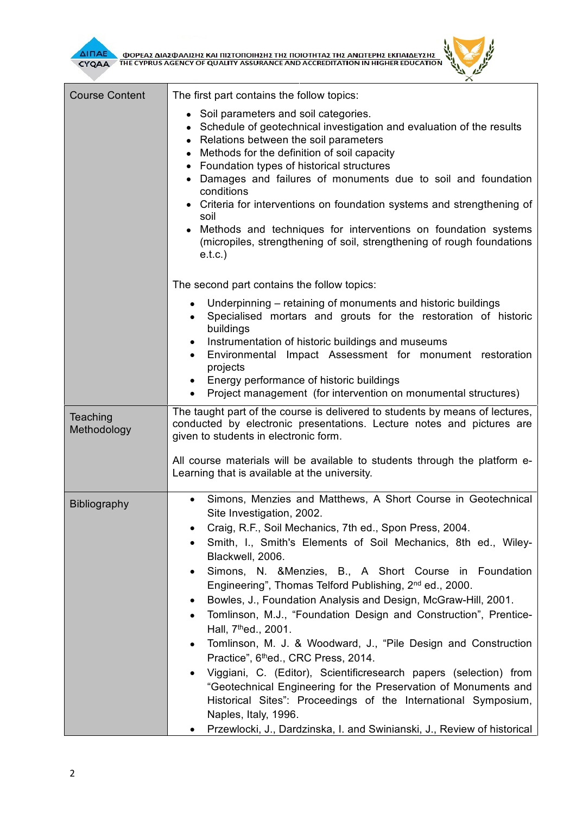فليلمج  $^{\times}$ 

| <b>Course Content</b>   | The first part contains the follow topics:                                                                                                                                                                                                                                                                                                                                                                                                                                                                                                                                                                                                                                                                                                                                                                                                                                                                                                                                                                           |  |  |  |  |  |  |
|-------------------------|----------------------------------------------------------------------------------------------------------------------------------------------------------------------------------------------------------------------------------------------------------------------------------------------------------------------------------------------------------------------------------------------------------------------------------------------------------------------------------------------------------------------------------------------------------------------------------------------------------------------------------------------------------------------------------------------------------------------------------------------------------------------------------------------------------------------------------------------------------------------------------------------------------------------------------------------------------------------------------------------------------------------|--|--|--|--|--|--|
|                         | • Soil parameters and soil categories.<br>Schedule of geotechnical investigation and evaluation of the results<br>• Relations between the soil parameters<br>Methods for the definition of soil capacity<br>Foundation types of historical structures<br>Damages and failures of monuments due to soil and foundation<br>conditions<br>• Criteria for interventions on foundation systems and strengthening of<br>soil<br>Methods and techniques for interventions on foundation systems<br>(micropiles, strengthening of soil, strengthening of rough foundations<br>e.t.c.                                                                                                                                                                                                                                                                                                                                                                                                                                         |  |  |  |  |  |  |
|                         | The second part contains the follow topics:                                                                                                                                                                                                                                                                                                                                                                                                                                                                                                                                                                                                                                                                                                                                                                                                                                                                                                                                                                          |  |  |  |  |  |  |
|                         | Underpinning – retaining of monuments and historic buildings<br>$\bullet$<br>Specialised mortars and grouts for the restoration of historic<br>٠<br>buildings<br>Instrumentation of historic buildings and museums<br>$\bullet$<br>Environmental Impact Assessment for monument restoration<br>projects<br>Energy performance of historic buildings<br>Project management (for intervention on monumental structures)                                                                                                                                                                                                                                                                                                                                                                                                                                                                                                                                                                                                |  |  |  |  |  |  |
| Teaching<br>Methodology | The taught part of the course is delivered to students by means of lectures,<br>conducted by electronic presentations. Lecture notes and pictures are<br>given to students in electronic form.                                                                                                                                                                                                                                                                                                                                                                                                                                                                                                                                                                                                                                                                                                                                                                                                                       |  |  |  |  |  |  |
|                         | All course materials will be available to students through the platform e-<br>Learning that is available at the university.                                                                                                                                                                                                                                                                                                                                                                                                                                                                                                                                                                                                                                                                                                                                                                                                                                                                                          |  |  |  |  |  |  |
| <b>Bibliography</b>     | Simons, Menzies and Matthews, A Short Course in Geotechnical<br>Site Investigation, 2002.<br>Craig, R.F., Soil Mechanics, 7th ed., Spon Press, 2004.<br>٠<br>Smith, I., Smith's Elements of Soil Mechanics, 8th ed., Wiley-<br>Blackwell, 2006.<br>Simons, N. & Menzies, B., A Short Course in Foundation<br>Engineering", Thomas Telford Publishing, 2 <sup>nd</sup> ed., 2000.<br>Bowles, J., Foundation Analysis and Design, McGraw-Hill, 2001.<br>٠<br>Tomlinson, M.J., "Foundation Design and Construction", Prentice-<br>$\bullet$<br>Hall, 7 <sup>th</sup> ed., 2001.<br>Tomlinson, M. J. & Woodward, J., "Pile Design and Construction<br>$\bullet$<br>Practice", 6thed., CRC Press, 2014.<br>Viggiani, C. (Editor), Scientificresearch papers (selection) from<br>٠<br>"Geotechnical Engineering for the Preservation of Monuments and<br>Historical Sites": Proceedings of the International Symposium,<br>Naples, Italy, 1996.<br>Przewlocki, J., Dardzinska, I. and Swinianski, J., Review of historical |  |  |  |  |  |  |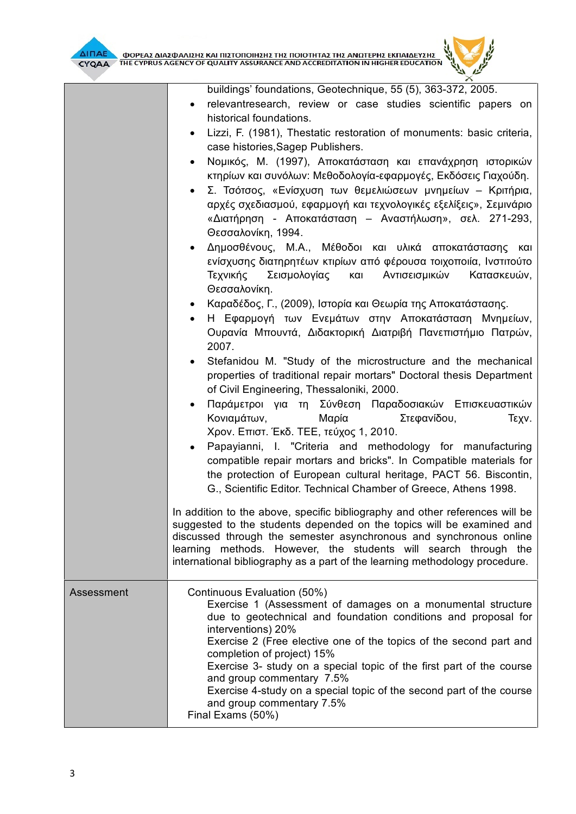

buildings' foundations, Geotechnique, 55 (5), 363-372, 2005.

- relevantresearch, review or case studies scientific papers on historical foundations.
- Lizzi, F. (1981), Thestatic restoration of monuments: basic criteria, case histories,Sagep Publishers.
- Νομικός, Μ. (1997), Αποκατάσταση και επανάχρηση ιστορικών κτηρίων και συνόλων: Μεθοδολογία-εφαρμογές, Εκδόσεις Γιαχούδη.
- Σ. Τσότσος, «Ενίσχυση των θεμελιώσεων μνημείων Κριτήρια, αρχές σχεδιασμού, εφαρμογή και τεχνολογικές εξελίξεις», Σεμινάριο «Διατήρηση - Αποκατάσταση – Αναστήλωση», σελ. 271-293, Θεσσαλονίκη, 1994.
- Δημοσθένους, Μ.Α., Μέθοδοι και υλικά αποκατάστασης και ενίσχυσης διατηρητέων κτιρίων από φέρουσα τοιχοποιία, Ινστιτούτο Τεχνικής Σεισμολογίας και Αντισεισμικών Κατασκευών, Θεσσαλονίκη.
- Καραδέδος, Γ., (2009), Ιστορία και Θεωρία της Αποκατάστασης.
- Η Εφαρμογή των Ενεμάτων στην Αποκατάσταση Μνημείων, Ουρανία Μπουντά, Διδακτορική Διατριβή Πανεπιστήμιο Πατρών, 2007.
- Stefanidou M. "Study of the microstructure and the mechanical properties of traditional repair mortars" Doctoral thesis Department of Civil Engineering, Thessaloniki, 2000.
- Παράμετροι για τη Σύνθεση Παραδοσιακών Επισκευαστικών Κονιαμάτων, Μαρία Στεφανίδου, Τεχν. Χρον. Επιστ. Έκδ. ΤΕΕ, τεύχος 1, 2010.
- Papayianni, I. "Criteria and methodology for manufacturing compatible repair mortars and bricks". In Compatible materials for the protection of European cultural heritage, PACT 56. Biscontin, G., Scientific Editor. Technical Chamber of Greece, Athens 1998.

In addition to the above, specific bibliography and other references will be suggested to the students depended on the topics will be examined and discussed through the semester asynchronous and synchronous online learning methods. However, the students will search through the international bibliography as a part of the learning methodology procedure.

| Assessment | Continuous Evaluation (50%)<br>Exercise 1 (Assessment of damages on a monumental structure<br>due to geotechnical and foundation conditions and proposal for<br>interventions) 20%<br>Exercise 2 (Free elective one of the topics of the second part and<br>completion of project) 15%<br>Exercise 3- study on a special topic of the first part of the course<br>and group commentary 7.5% |
|------------|---------------------------------------------------------------------------------------------------------------------------------------------------------------------------------------------------------------------------------------------------------------------------------------------------------------------------------------------------------------------------------------------|
|            | Exercise 4-study on a special topic of the second part of the course<br>and group commentary 7.5%<br>Final Exams (50%)                                                                                                                                                                                                                                                                      |